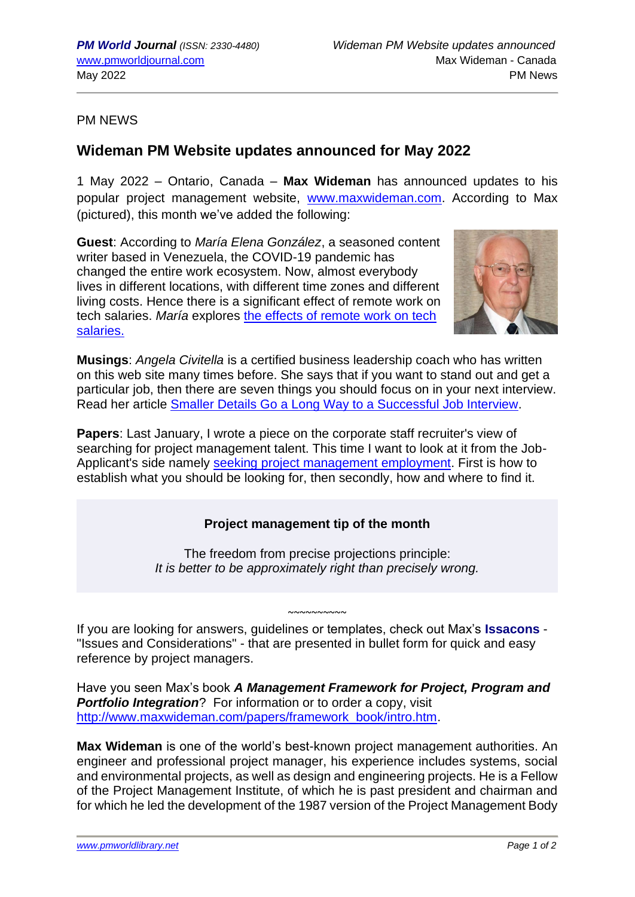PM NEWS

## **Wideman PM Website updates announced for May 2022**

1 May 2022 – Ontario, Canada – **Max Wideman** has announced updates to his popular project management website, [www.maxwideman.com.](http://www.maxwideman.com/) According to Max (pictured), this month we've added the following:

**Guest**: According to *María Elena González*, a seasoned content writer based in Venezuela, the COVID-19 pandemic has changed the entire work ecosystem. Now, almost everybody lives in different locations, with different time zones and different living costs. Hence there is a significant effect of remote work on tech salaries. *María* explores [the effects of remote work on tech](http://www.maxwideman.com/guests/tech_salaries/intro.htm)  [salaries.](http://www.maxwideman.com/guests/tech_salaries/intro.htm)



**Musings**: *Angela Civitella* is a certified business leadership coach who has written on this web site many times before. She says that if you want to stand out and get a particular job, then there are seven things you should focus on in your next interview. Read her article [Smaller Details Go a Long Way to a Successful Job Interview.](http://www.maxwideman.com/musings/details.htm)

**Papers**: Last January, I wrote a piece on the corporate staff recruiter's view of searching for project management talent. This time I want to look at it from the Job-Applicant's side namely [seeking project management employment.](http://www.maxwideman.com/papers/seeking/intro.htm) First is how to establish what you should be looking for, then secondly, how and where to find it.

## **Project management tip of the month**

The freedom from precise projections principle: *It is better to be approximately right than precisely wrong.*

 $~\sim$   $\sim$   $\sim$   $\sim$   $\sim$   $\sim$ If you are looking for answers, guidelines or templates, check out Max's **Issacons** - "Issues and Considerations" - that are presented in bullet form for quick and easy reference by project managers.

Have you seen Max's book *A Management Framework for Project, Program and*  **Portfolio Integration**? For information or to order a copy, visit [http://www.maxwideman.com/papers/framework\\_book/intro.htm.](http://www.maxwideman.com/papers/framework_book/intro.htm)

**Max Wideman** is one of the world's best-known project management authorities. An engineer and professional project manager, his experience includes systems, social and environmental projects, as well as design and engineering projects. He is a Fellow of the Project Management Institute, of which he is past president and chairman and for which he led the development of the 1987 version of the Project Management Body